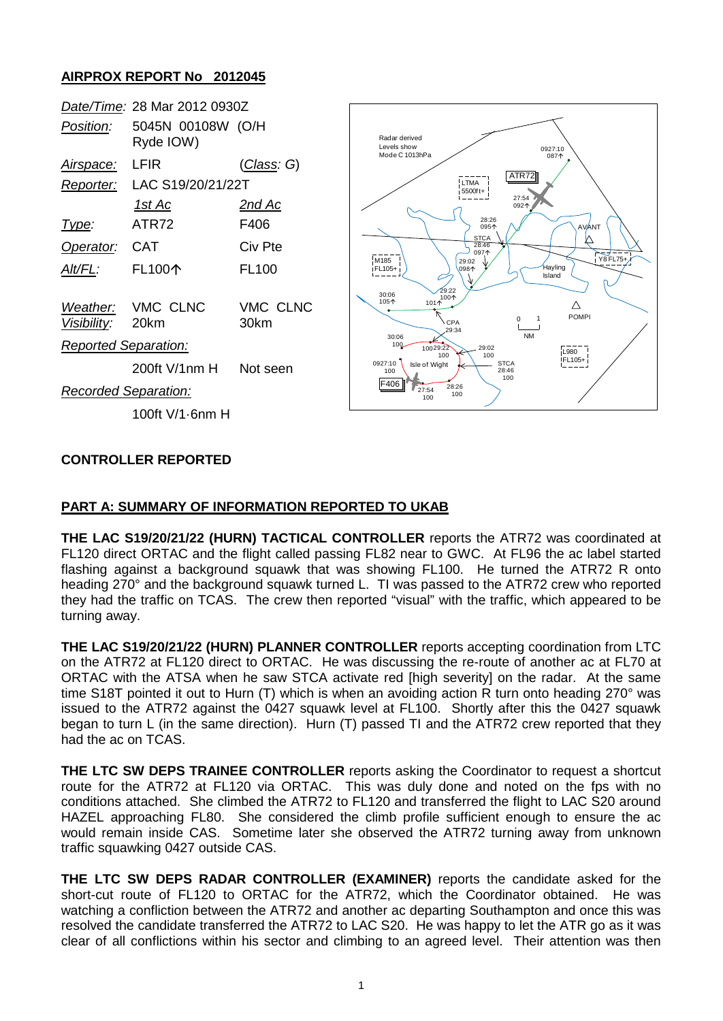# **AIRPROX REPORT No 2012045**

|                             | Date/Time: 28 Mar 2012 0930Z   |                  |                                                |
|-----------------------------|--------------------------------|------------------|------------------------------------------------|
| Position:                   | 5045N 00108W (O/H<br>Ryde IOW) |                  | Radar derived<br>Levels show<br>Mode C 1013hPa |
| <u>Airspace:</u>            | <b>LFIR</b>                    | (Class: G)       |                                                |
| Reporter:                   | LAC S19/20/21/22T              |                  |                                                |
|                             | <u> 1st Ac</u>                 | <u>2nd Ac</u>    |                                                |
| Type:                       | ATR72                          | F406             |                                                |
| Operator:                   | <b>CAT</b>                     | Civ Pte          |                                                |
| Alt/FL:                     | <b>FL100个</b>                  | <b>FL100</b>     | M185<br>iFL105+                                |
| Visibility:                 | Weather: VMC CLNC<br>20km      | VMC CLNC<br>30km | 30:06<br>105个<br>101'<br>ำ                     |
| <b>Reported Separation:</b> |                                |                  | 30:06<br>100<br>10029                          |
|                             | 200ft V/1nm H                  | Not seen         | 0927:10<br>Isle of Wi<br>100                   |
| <b>Recorded Separation:</b> |                                |                  | F406<br>27:54<br>100                           |
|                             | 100ft V/1-6nm H                |                  |                                                |



## **CONTROLLER REPORTED**

#### **PART A: SUMMARY OF INFORMATION REPORTED TO UKAB**

**THE LAC S19/20/21/22 (HURN) TACTICAL CONTROLLER** reports the ATR72 was coordinated at FL120 direct ORTAC and the flight called passing FL82 near to GWC. At FL96 the ac label started flashing against a background squawk that was showing FL100. He turned the ATR72 R onto heading 270° and the background squawk turned L. TI was passed to the ATR72 crew who reported they had the traffic on TCAS. The crew then reported "visual" with the traffic, which appeared to be turning away.

**THE LAC S19/20/21/22 (HURN) PLANNER CONTROLLER** reports accepting coordination from LTC on the ATR72 at FL120 direct to ORTAC. He was discussing the re-route of another ac at FL70 at ORTAC with the ATSA when he saw STCA activate red [high severity] on the radar. At the same time S18T pointed it out to Hurn (T) which is when an avoiding action R turn onto heading 270° was issued to the ATR72 against the 0427 squawk level at FL100. Shortly after this the 0427 squawk began to turn L (in the same direction). Hurn (T) passed TI and the ATR72 crew reported that they had the ac on TCAS.

**THE LTC SW DEPS TRAINEE CONTROLLER** reports asking the Coordinator to request a shortcut route for the ATR72 at FL120 via ORTAC. This was duly done and noted on the fps with no conditions attached. She climbed the ATR72 to FL120 and transferred the flight to LAC S20 around HAZEL approaching FL80. She considered the climb profile sufficient enough to ensure the ac would remain inside CAS. Sometime later she observed the ATR72 turning away from unknown traffic squawking 0427 outside CAS.

**THE LTC SW DEPS RADAR CONTROLLER (EXAMINER)** reports the candidate asked for the short-cut route of FL120 to ORTAC for the ATR72, which the Coordinator obtained. He was watching a confliction between the ATR72 and another ac departing Southampton and once this was resolved the candidate transferred the ATR72 to LAC S20. He was happy to let the ATR go as it was clear of all conflictions within his sector and climbing to an agreed level. Their attention was then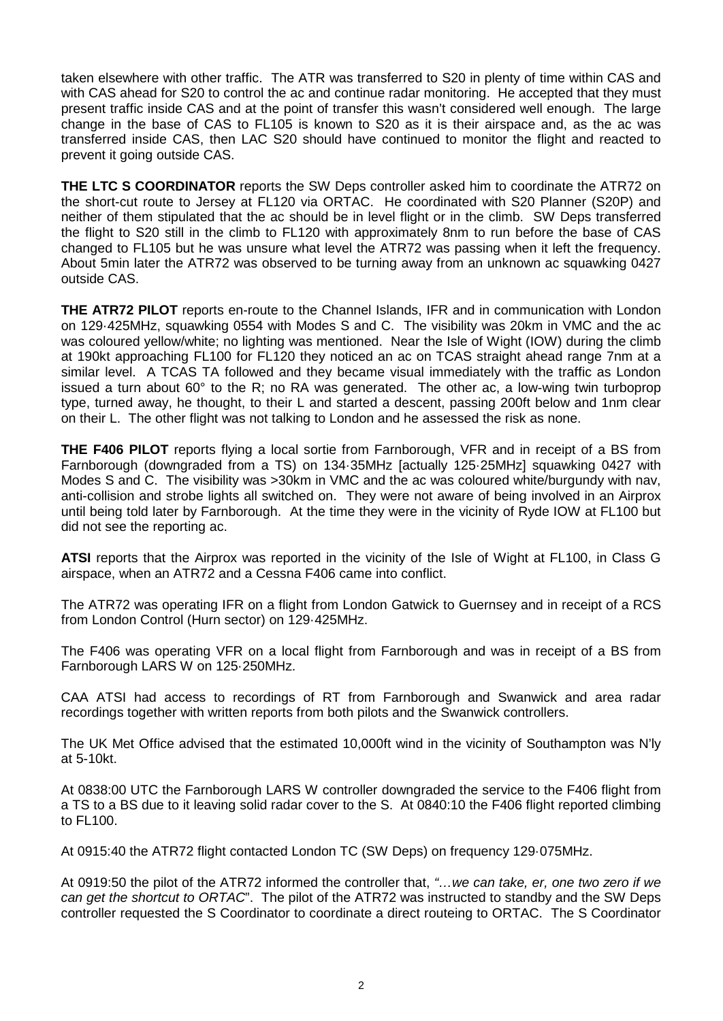taken elsewhere with other traffic. The ATR was transferred to S20 in plenty of time within CAS and with CAS ahead for S20 to control the ac and continue radar monitoring. He accepted that they must present traffic inside CAS and at the point of transfer this wasn't considered well enough. The large change in the base of CAS to FL105 is known to S20 as it is their airspace and, as the ac was transferred inside CAS, then LAC S20 should have continued to monitor the flight and reacted to prevent it going outside CAS.

**THE LTC S COORDINATOR** reports the SW Deps controller asked him to coordinate the ATR72 on the short-cut route to Jersey at FL120 via ORTAC. He coordinated with S20 Planner (S20P) and neither of them stipulated that the ac should be in level flight or in the climb. SW Deps transferred the flight to S20 still in the climb to FL120 with approximately 8nm to run before the base of CAS changed to FL105 but he was unsure what level the ATR72 was passing when it left the frequency. About 5min later the ATR72 was observed to be turning away from an unknown ac squawking 0427 outside CAS.

**THE ATR72 PILOT** reports en-route to the Channel Islands, IFR and in communication with London on 129·425MHz, squawking 0554 with Modes S and C. The visibility was 20km in VMC and the ac was coloured yellow/white; no lighting was mentioned. Near the Isle of Wight (IOW) during the climb at 190kt approaching FL100 for FL120 they noticed an ac on TCAS straight ahead range 7nm at a similar level. A TCAS TA followed and they became visual immediately with the traffic as London issued a turn about 60° to the R; no RA was generated. The other ac, a low-wing twin turboprop type, turned away, he thought, to their L and started a descent, passing 200ft below and 1nm clear on their L. The other flight was not talking to London and he assessed the risk as none.

**THE F406 PILOT** reports flying a local sortie from Farnborough, VFR and in receipt of a BS from Farnborough (downgraded from a TS) on 134·35MHz [actually 125·25MHz] squawking 0427 with Modes S and C. The visibility was >30km in VMC and the ac was coloured white/burgundy with nav, anti-collision and strobe lights all switched on. They were not aware of being involved in an Airprox until being told later by Farnborough. At the time they were in the vicinity of Ryde IOW at FL100 but did not see the reporting ac.

**ATSI** reports that the Airprox was reported in the vicinity of the Isle of Wight at FL100, in Class G airspace, when an ATR72 and a Cessna F406 came into conflict.

The ATR72 was operating IFR on a flight from London Gatwick to Guernsey and in receipt of a RCS from London Control (Hurn sector) on 129·425MHz.

The F406 was operating VFR on a local flight from Farnborough and was in receipt of a BS from Farnborough LARS W on 125·250MHz.

CAA ATSI had access to recordings of RT from Farnborough and Swanwick and area radar recordings together with written reports from both pilots and the Swanwick controllers.

The UK Met Office advised that the estimated 10,000ft wind in the vicinity of Southampton was N'ly at 5-10kt.

At 0838:00 UTC the Farnborough LARS W controller downgraded the service to the F406 flight from a TS to a BS due to it leaving solid radar cover to the S. At 0840:10 the F406 flight reported climbing to FL100.

At 0915:40 the ATR72 flight contacted London TC (SW Deps) on frequency 129·075MHz.

At 0919:50 the pilot of the ATR72 informed the controller that, *"…we can take, er, one two zero if we can get the shortcut to ORTAC*". The pilot of the ATR72 was instructed to standby and the SW Deps controller requested the S Coordinator to coordinate a direct routeing to ORTAC. The S Coordinator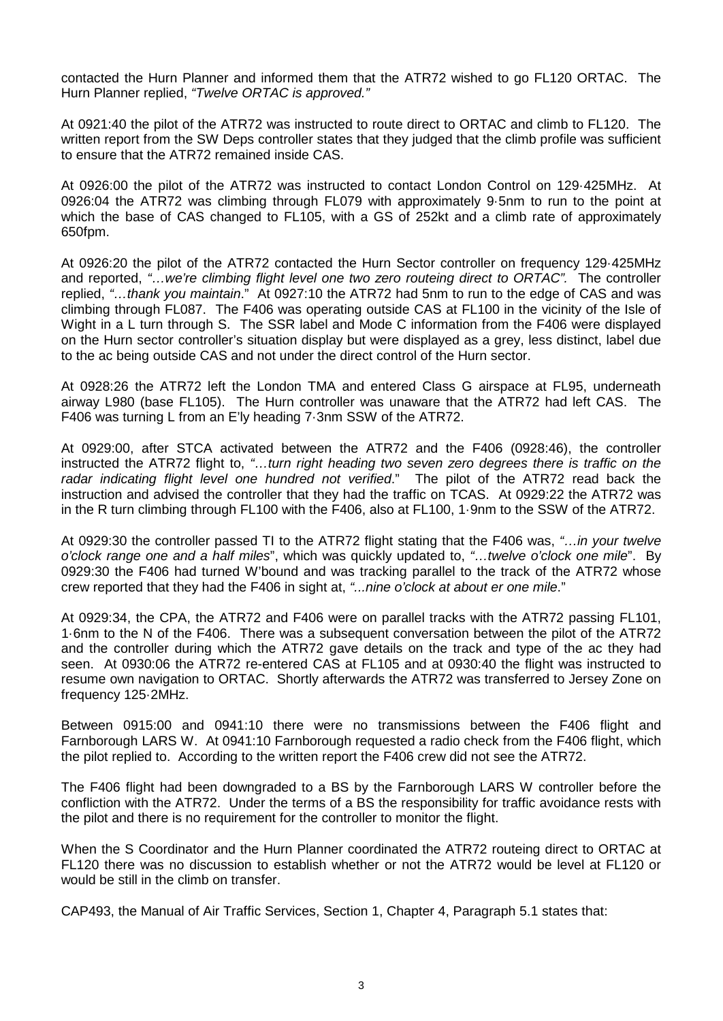contacted the Hurn Planner and informed them that the ATR72 wished to go FL120 ORTAC. The Hurn Planner replied, *"Twelve ORTAC is approved."*

At 0921:40 the pilot of the ATR72 was instructed to route direct to ORTAC and climb to FL120. The written report from the SW Deps controller states that they judged that the climb profile was sufficient to ensure that the ATR72 remained inside CAS.

At 0926:00 the pilot of the ATR72 was instructed to contact London Control on 129·425MHz. At 0926:04 the ATR72 was climbing through FL079 with approximately 9·5nm to run to the point at which the base of CAS changed to FL105, with a GS of 252kt and a climb rate of approximately 650fpm.

At 0926:20 the pilot of the ATR72 contacted the Hurn Sector controller on frequency 129·425MHz and reported, *"…we're climbing flight level one two zero routeing direct to ORTAC".* The controller replied, *"…thank you maintain*." At 0927:10 the ATR72 had 5nm to run to the edge of CAS and was climbing through FL087. The F406 was operating outside CAS at FL100 in the vicinity of the Isle of Wight in a L turn through S. The SSR label and Mode C information from the F406 were displayed on the Hurn sector controller's situation display but were displayed as a grey, less distinct, label due to the ac being outside CAS and not under the direct control of the Hurn sector.

At 0928:26 the ATR72 left the London TMA and entered Class G airspace at FL95, underneath airway L980 (base FL105). The Hurn controller was unaware that the ATR72 had left CAS. The F406 was turning L from an E'ly heading 7·3nm SSW of the ATR72.

At 0929:00, after STCA activated between the ATR72 and the F406 (0928:46), the controller instructed the ATR72 flight to, *"…turn right heading two seven zero degrees there is traffic on the radar indicating flight level one hundred not verified*." The pilot of the ATR72 read back the instruction and advised the controller that they had the traffic on TCAS. At 0929:22 the ATR72 was in the R turn climbing through FL100 with the F406, also at FL100, 1·9nm to the SSW of the ATR72.

At 0929:30 the controller passed TI to the ATR72 flight stating that the F406 was, *"…in your twelve o'clock range one and a half miles*", which was quickly updated to, *"…twelve o'clock one mile*". By 0929:30 the F406 had turned W'bound and was tracking parallel to the track of the ATR72 whose crew reported that they had the F406 in sight at, *"...nine o'clock at about er one mile*."

At 0929:34, the CPA, the ATR72 and F406 were on parallel tracks with the ATR72 passing FL101, 1·6nm to the N of the F406. There was a subsequent conversation between the pilot of the ATR72 and the controller during which the ATR72 gave details on the track and type of the ac they had seen. At 0930:06 the ATR72 re-entered CAS at FL105 and at 0930:40 the flight was instructed to resume own navigation to ORTAC. Shortly afterwards the ATR72 was transferred to Jersey Zone on frequency 125·2MHz.

Between 0915:00 and 0941:10 there were no transmissions between the F406 flight and Farnborough LARS W. At 0941:10 Farnborough requested a radio check from the F406 flight, which the pilot replied to. According to the written report the F406 crew did not see the ATR72.

The F406 flight had been downgraded to a BS by the Farnborough LARS W controller before the confliction with the ATR72. Under the terms of a BS the responsibility for traffic avoidance rests with the pilot and there is no requirement for the controller to monitor the flight.

When the S Coordinator and the Hurn Planner coordinated the ATR72 routeing direct to ORTAC at FL120 there was no discussion to establish whether or not the ATR72 would be level at FL120 or would be still in the climb on transfer.

CAP493, the Manual of Air Traffic Services, Section 1, Chapter 4, Paragraph 5.1 states that: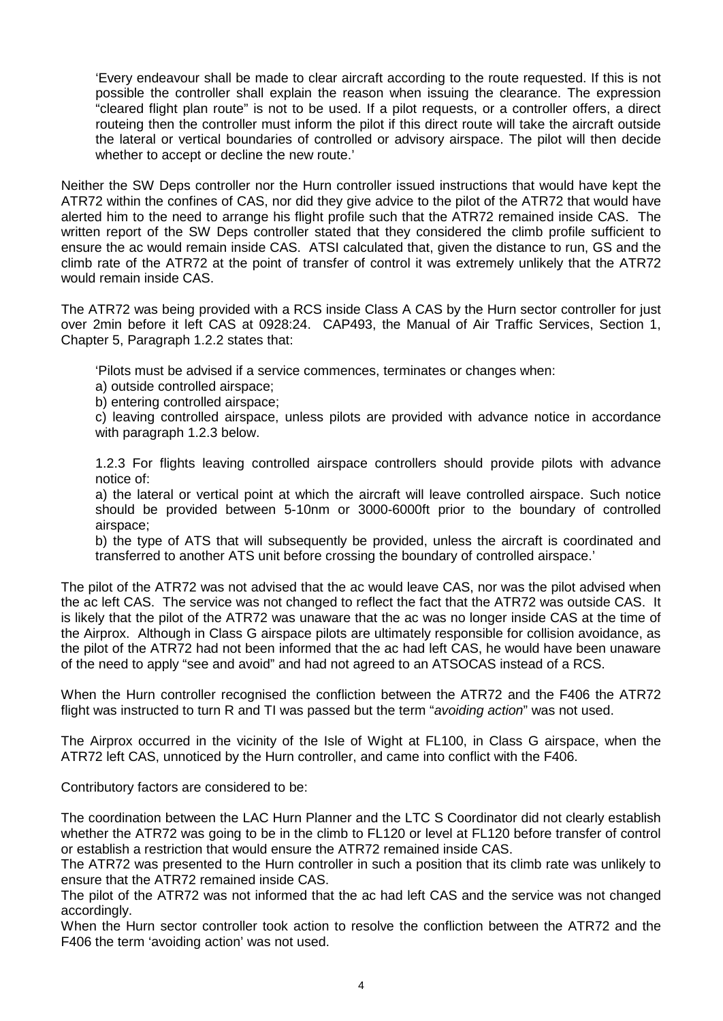'Every endeavour shall be made to clear aircraft according to the route requested. If this is not possible the controller shall explain the reason when issuing the clearance. The expression "cleared flight plan route" is not to be used. If a pilot requests, or a controller offers, a direct routeing then the controller must inform the pilot if this direct route will take the aircraft outside the lateral or vertical boundaries of controlled or advisory airspace. The pilot will then decide whether to accept or decline the new route.'

Neither the SW Deps controller nor the Hurn controller issued instructions that would have kept the ATR72 within the confines of CAS, nor did they give advice to the pilot of the ATR72 that would have alerted him to the need to arrange his flight profile such that the ATR72 remained inside CAS. The written report of the SW Deps controller stated that they considered the climb profile sufficient to ensure the ac would remain inside CAS. ATSI calculated that, given the distance to run, GS and the climb rate of the ATR72 at the point of transfer of control it was extremely unlikely that the ATR72 would remain inside CAS.

The ATR72 was being provided with a RCS inside Class A CAS by the Hurn sector controller for just over 2min before it left CAS at 0928:24. CAP493, the Manual of Air Traffic Services, Section 1, Chapter 5, Paragraph 1.2.2 states that:

'Pilots must be advised if a service commences, terminates or changes when:

a) outside controlled airspace;

b) entering controlled airspace;

c) leaving controlled airspace, unless pilots are provided with advance notice in accordance with paragraph 1.2.3 below.

1.2.3 For flights leaving controlled airspace controllers should provide pilots with advance notice of:

a) the lateral or vertical point at which the aircraft will leave controlled airspace. Such notice should be provided between 5-10nm or 3000-6000ft prior to the boundary of controlled airspace;

b) the type of ATS that will subsequently be provided, unless the aircraft is coordinated and transferred to another ATS unit before crossing the boundary of controlled airspace.'

The pilot of the ATR72 was not advised that the ac would leave CAS, nor was the pilot advised when the ac left CAS. The service was not changed to reflect the fact that the ATR72 was outside CAS. It is likely that the pilot of the ATR72 was unaware that the ac was no longer inside CAS at the time of the Airprox. Although in Class G airspace pilots are ultimately responsible for collision avoidance, as the pilot of the ATR72 had not been informed that the ac had left CAS, he would have been unaware of the need to apply "see and avoid" and had not agreed to an ATSOCAS instead of a RCS.

When the Hurn controller recognised the confliction between the ATR72 and the F406 the ATR72 flight was instructed to turn R and TI was passed but the term "*avoiding action*" was not used.

The Airprox occurred in the vicinity of the Isle of Wight at FL100, in Class G airspace, when the ATR72 left CAS, unnoticed by the Hurn controller, and came into conflict with the F406.

Contributory factors are considered to be:

The coordination between the LAC Hurn Planner and the LTC S Coordinator did not clearly establish whether the ATR72 was going to be in the climb to FL120 or level at FL120 before transfer of control or establish a restriction that would ensure the ATR72 remained inside CAS.

The ATR72 was presented to the Hurn controller in such a position that its climb rate was unlikely to ensure that the ATR72 remained inside CAS.

The pilot of the ATR72 was not informed that the ac had left CAS and the service was not changed accordingly.

When the Hurn sector controller took action to resolve the confliction between the ATR72 and the F406 the term 'avoiding action' was not used.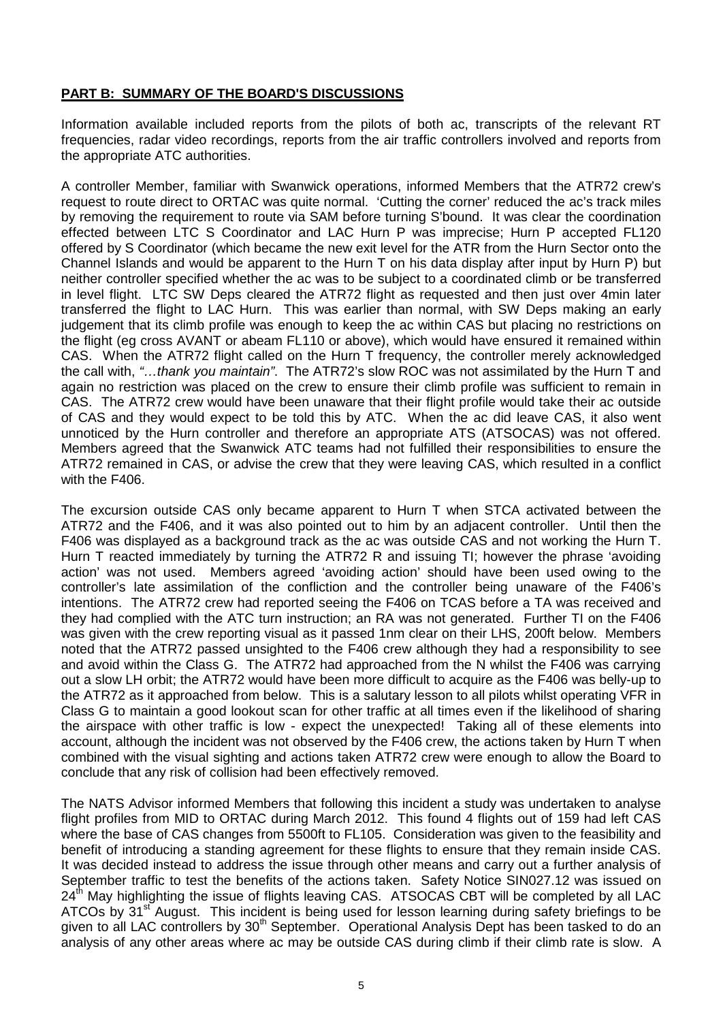## **PART B: SUMMARY OF THE BOARD'S DISCUSSIONS**

Information available included reports from the pilots of both ac, transcripts of the relevant RT frequencies, radar video recordings, reports from the air traffic controllers involved and reports from the appropriate ATC authorities.

A controller Member, familiar with Swanwick operations, informed Members that the ATR72 crew's request to route direct to ORTAC was quite normal. 'Cutting the corner' reduced the ac's track miles by removing the requirement to route via SAM before turning S'bound. It was clear the coordination effected between LTC S Coordinator and LAC Hurn P was imprecise; Hurn P accepted FL120 offered by S Coordinator (which became the new exit level for the ATR from the Hurn Sector onto the Channel Islands and would be apparent to the Hurn T on his data display after input by Hurn P) but neither controller specified whether the ac was to be subject to a coordinated climb or be transferred in level flight. LTC SW Deps cleared the ATR72 flight as requested and then just over 4min later transferred the flight to LAC Hurn. This was earlier than normal, with SW Deps making an early judgement that its climb profile was enough to keep the ac within CAS but placing no restrictions on the flight (eg cross AVANT or abeam FL110 or above), which would have ensured it remained within CAS. When the ATR72 flight called on the Hurn T frequency, the controller merely acknowledged the call with, *"…thank you maintain"*. The ATR72's slow ROC was not assimilated by the Hurn T and again no restriction was placed on the crew to ensure their climb profile was sufficient to remain in CAS. The ATR72 crew would have been unaware that their flight profile would take their ac outside of CAS and they would expect to be told this by ATC. When the ac did leave CAS, it also went unnoticed by the Hurn controller and therefore an appropriate ATS (ATSOCAS) was not offered. Members agreed that the Swanwick ATC teams had not fulfilled their responsibilities to ensure the ATR72 remained in CAS, or advise the crew that they were leaving CAS, which resulted in a conflict with the F406.

The excursion outside CAS only became apparent to Hurn T when STCA activated between the ATR72 and the F406, and it was also pointed out to him by an adjacent controller. Until then the F406 was displayed as a background track as the ac was outside CAS and not working the Hurn T. Hurn T reacted immediately by turning the ATR72 R and issuing TI; however the phrase 'avoiding action' was not used. Members agreed 'avoiding action' should have been used owing to the controller's late assimilation of the confliction and the controller being unaware of the F406's intentions. The ATR72 crew had reported seeing the F406 on TCAS before a TA was received and they had complied with the ATC turn instruction; an RA was not generated. Further TI on the F406 was given with the crew reporting visual as it passed 1nm clear on their LHS, 200ft below. Members noted that the ATR72 passed unsighted to the F406 crew although they had a responsibility to see and avoid within the Class G. The ATR72 had approached from the N whilst the F406 was carrying out a slow LH orbit; the ATR72 would have been more difficult to acquire as the F406 was belly-up to the ATR72 as it approached from below. This is a salutary lesson to all pilots whilst operating VFR in Class G to maintain a good lookout scan for other traffic at all times even if the likelihood of sharing the airspace with other traffic is low - expect the unexpected! Taking all of these elements into account, although the incident was not observed by the F406 crew, the actions taken by Hurn T when combined with the visual sighting and actions taken ATR72 crew were enough to allow the Board to conclude that any risk of collision had been effectively removed.

The NATS Advisor informed Members that following this incident a study was undertaken to analyse flight profiles from MID to ORTAC during March 2012. This found 4 flights out of 159 had left CAS where the base of CAS changes from 5500ft to FL105. Consideration was given to the feasibility and benefit of introducing a standing agreement for these flights to ensure that they remain inside CAS. It was decided instead to address the issue through other means and carry out a further analysis of September traffic to test the benefits of the actions taken. Safety Notice SIN027.12 was issued on 24<sup>th</sup> May highlighting the issue of flights leaving CAS. ATSOCAS CBT will be completed by all LAC ATCOs by 31<sup>st</sup> August. This incident is being used for lesson learning during safety briefings to be given to all LAC controllers by 30<sup>th</sup> September. Operational Analysis Dept has been tasked to do an analysis of any other areas where ac may be outside CAS during climb if their climb rate is slow. A